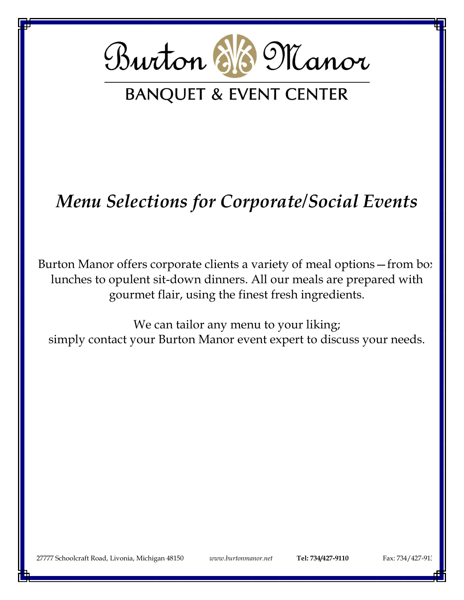

# *Menu Selections for Corporate/Social Events*

Burton Manor offers corporate clients a variety of meal options - from bo: lunches to opulent sit-down dinners. All our meals are prepared with gourmet flair, using the finest fresh ingredients.

We can tailor any menu to your liking; simply contact your Burton Manor event expert to discuss your needs.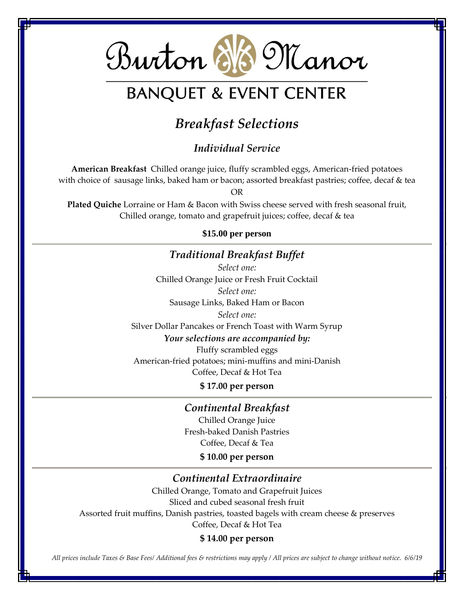

## *Breakfast Selections*

#### *Individual Service*

**American Breakfast** Chilled orange juice, fluffy scrambled eggs, American-fried potatoes with choice of sausage links, baked ham or bacon; assorted breakfast pastries; coffee, decaf & tea

OR

**Plated Quiche** Lorraine or Ham & Bacon with Swiss cheese served with fresh seasonal fruit, Chilled orange, tomato and grapefruit juices; coffee, decaf & tea

#### **\$15.00 per person**

#### *Traditional Breakfast Buffet*

*Select one:* Chilled Orange Juice or Fresh Fruit Cocktail *Select one:* Sausage Links, Baked Ham or Bacon *Select one:* Silver Dollar Pancakes or French Toast with Warm Syrup *Your selections are accompanied by:*

Fluffy scrambled eggs American-fried potatoes; mini-muffins and mini-Danish Coffee, Decaf & Hot Tea

**\$ 17.00 per person**

*Continental Breakfast* Chilled Orange Juice Fresh-baked Danish Pastries Coffee, Decaf & Tea

**\$ 10.00 per person**

#### *Continental Extraordinaire*

Chilled Orange, Tomato and Grapefruit Juices Sliced and cubed seasonal fresh fruit Assorted fruit muffins, Danish pastries, toasted bagels with cream cheese & preserves Coffee, Decaf & Hot Tea

#### **\$ 14.00 per person**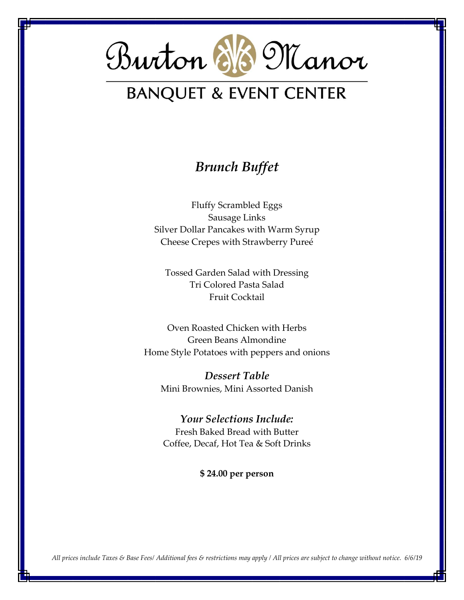

### *Brunch Buffet*

Fluffy Scrambled Eggs Sausage Links Silver Dollar Pancakes with Warm Syrup Cheese Crepes with Strawberry Pureé

Tossed Garden Salad with Dressing Tri Colored Pasta Salad Fruit Cocktail

Oven Roasted Chicken with Herbs Green Beans Almondine Home Style Potatoes with peppers and onions

*Dessert Table* Mini Brownies, Mini Assorted Danish

*Your Selections Include:* Fresh Baked Bread with Butter Coffee, Decaf, Hot Tea & Soft Drinks

**\$ 24.00 per person**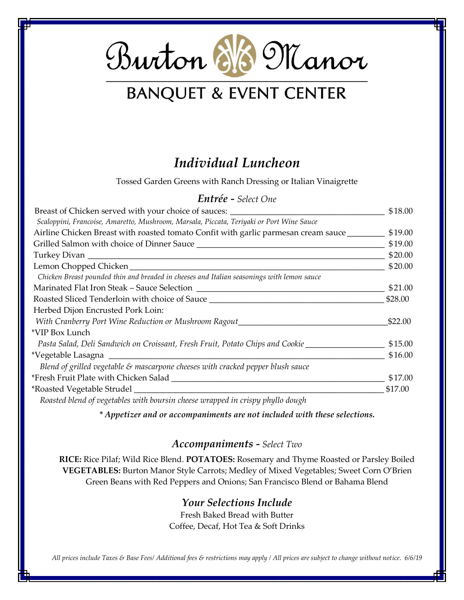

## *Individual Luncheon*

Tossed Garden Greens with Ranch Dressing or Italian Vinaigrette

#### *Entrée - Select One*

|                                                                                                              | \$18.00 |
|--------------------------------------------------------------------------------------------------------------|---------|
| Scaloppini, Francoise, Amaretto, Mushroom, Marsala, Piccata, Teriyaki or Port Wine Sauce                     |         |
| Airline Chicken Breast with roasted tomato Confit with garlic parmesan cream sauce ________________ \$19.00  |         |
|                                                                                                              | \$19.00 |
|                                                                                                              | \$20.00 |
|                                                                                                              | \$20.00 |
| Chicken Breast pounded thin and breaded in cheeses and Italian seasonings with lemon sauce                   |         |
| Marinated Flat Iron Steak – Sauce Selection                                                                  | \$21.00 |
| Roasted Sliced Tenderloin with choice of Sauce <b>Community Contains the Contract Oriental</b>               | \$28.00 |
| Herbed Dijon Encrusted Pork Loin:                                                                            |         |
| With Cranberry Port Wine Reduction or Mushroom Ragout___________________________                             | \$22.00 |
| *VIP Box Lunch                                                                                               |         |
| Pasta Salad, Deli Sandwich on Croissant, Fresh Fruit, Potato Chips and Cookie ______________________ \$15.00 |         |
|                                                                                                              | \$16.00 |
| Blend of grilled vegetable $\varepsilon$ mascarpone cheeses with cracked pepper blush sauce                  |         |
|                                                                                                              | \$17.00 |
|                                                                                                              | \$17.00 |
| Roasted blend of vegetables with hoursin cheese wranned in crismy phyllo dough                               |         |

*Roasted blend of vegetables with boursin cheese wrapped in crispy phyllo dough*

*\* Appetizer and or accompaniments are not included with these selections.*

#### *Accompaniments - Select Two*

**RICE:** Rice Pilaf; Wild Rice Blend. **POTATOES:** Rosemary and Thyme Roasted or Parsley Boiled **VEGETABLES:** Burton Manor Style Carrots; Medley of Mixed Vegetables; Sweet Corn O'Brien Green Beans with Red Peppers and Onions; San Francisco Blend or Bahama Blend

#### *Your Selections Include*

Fresh Baked Bread with Butter Coffee, Decaf, Hot Tea & Soft Drinks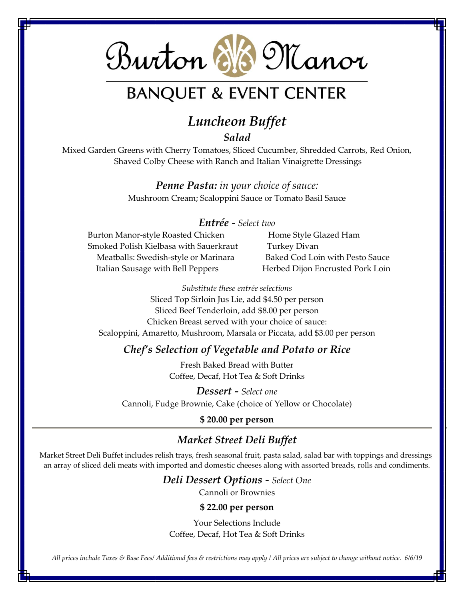# Burton 6/6 Manor

## **BANQUET & EVENT CENTER**

## *Luncheon Buffet*

*Salad*

Mixed Garden Greens with Cherry Tomatoes, Sliced Cucumber, Shredded Carrots, Red Onion, Shaved Colby Cheese with Ranch and Italian Vinaigrette Dressings

> *Penne Pasta: in your choice of sauce:* Mushroom Cream; Scaloppini Sauce or Tomato Basil Sauce

#### *Entrée - Select two*

Burton Manor-style Roasted Chicken Home Style Glazed Ham Smoked Polish Kielbasa with Sauerkraut Turkey Divan Meatballs: Swedish-style or Marinara Baked Cod Loin with Pesto Sauce Italian Sausage with Bell Peppers **Herbed Dijon Encrusted Pork Loin** 

*Substitute these entrée selections*

Sliced Top Sirloin Jus Lie, add \$4.50 per person Sliced Beef Tenderloin, add \$8.00 per person Chicken Breast served with your choice of sauce: Scaloppini, Amaretto, Mushroom, Marsala or Piccata, add \$3.00 per person

#### *Chef's Selection of Vegetable and Potato or Rice*

Fresh Baked Bread with Butter Coffee, Decaf, Hot Tea & Soft Drinks

*Dessert - Select one* Cannoli, Fudge Brownie, Cake (choice of Yellow or Chocolate)

#### **\$ 20.00 per person**

#### *Market Street Deli Buffet*

Market Street Deli Buffet includes relish trays, fresh seasonal fruit, pasta salad, salad bar with toppings and dressings, an array of sliced deli meats with imported and domestic cheeses along with assorted breads, rolls and condiments.

#### *Deli Dessert Options - Select One*

Cannoli or Brownies

#### **\$ 22.00 per person**

Your Selections Include Coffee, Decaf, Hot Tea & Soft Drinks